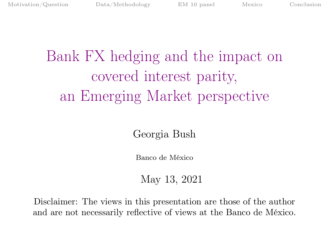# <span id="page-0-0"></span>Bank FX hedging and the impact on covered interest parity, an Emerging Market perspective

Georgia Bush

Banco de México

May 13, 2021

Disclaimer: The views in this presentation are those of the author and are not necessarily reflective of views at the Banco de México.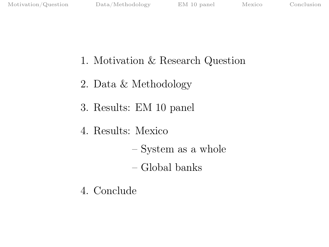- 1. Motivation & Research Question
- 2. Data & Methodology
- 3. Results: EM 10 panel
- 4. Results: Mexico
	- System as a whole
	- Global banks
- 4. Conclude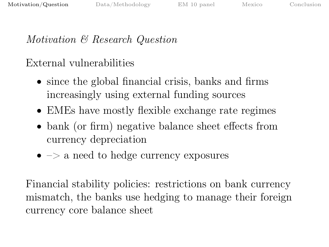# <span id="page-2-0"></span>Motivation & Research Question

## External vulnerabilities

- since the global financial crisis, banks and firms increasingly using external funding sources
- EMEs have mostly flexible exchange rate regimes
- bank (or firm) negative balance sheet effects from currency depreciation
- $\bullet$   $\Rightarrow$  a need to hedge currency exposures

Financial stability policies: restrictions on bank currency mismatch, the banks use hedging to manage their foreign currency core balance sheet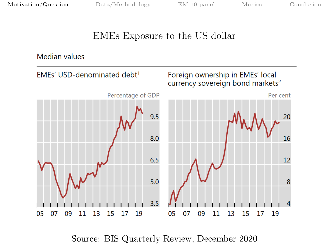## EMEs Exposure to the US dollar

Median values



Source: BIS Quarterly Review, December 2020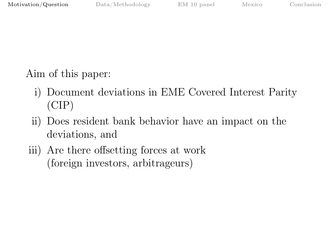Aim of this paper:

- i) Document deviations in EME Covered Interest Parity (CIP)
- ii) Does resident bank behavior have an impact on the deviations, and
- iii) Are there offsetting forces at work (foreign investors, arbitrageurs)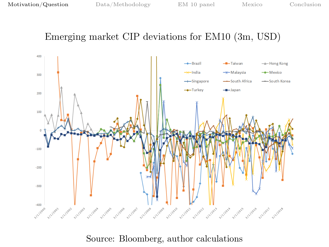## Emerging market CIP deviations for EM10 (3m, USD)



#### Source: Bloomberg, author calculations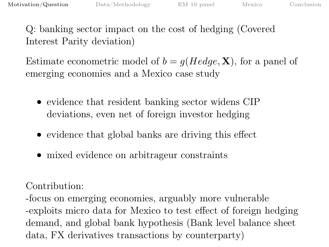Q: banking sector impact on the cost of hedging (Covered Interest Parity deviation)

Estimate econometric model of  $b = g(Hedge, \mathbf{X})$ , for a panel of emerging economies and a Mexico case study

- evidence that resident banking sector widens CIP deviations, even net of foreign investor hedging
- evidence that global banks are driving this effect
- mixed evidence on arbitrageur constraints

Contribution:

-focus on emerging economies, arguably more vulnerable -exploits micro data for Mexico to test effect of foreign hedging demand, and global bank hypothesis (Bank level balance sheet data, FX derivatives transactions by counterparty)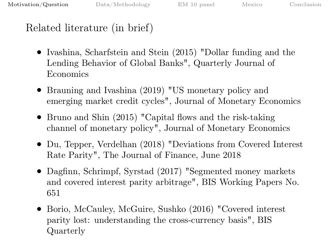## Related literature (in brief)

- Ivashina, Scharfstein and Stein (2015) "Dollar funding and the Lending Behavior of Global Banks", Quarterly Journal of Economics
- Brauning and Ivashina (2019) "US monetary policy and emerging market credit cycles", Journal of Monetary Economics
- Bruno and Shin (2015) "Capital flows and the risk-taking channel of monetary policy", Journal of Monetary Economics
- Du, Tepper, Verdelhan (2018) "Deviations from Covered Interest Rate Parity", The Journal of Finance, June 2018
- Dagfinn, Schrimpf, Syrstad (2017) "Segmented money markets and covered interest parity arbitrage", BIS Working Papers No. 651
- Borio, McCauley, McGuire, Sushko (2016) "Covered interest parity lost: understanding the cross-currency basis", BIS Quarterly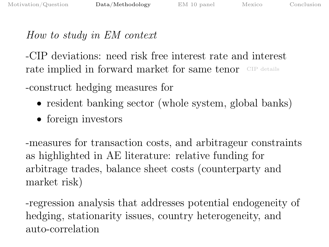## <span id="page-8-0"></span>How to study in EM context

-CIP deviations: need risk free interest rate and interest rate implied in forward market for same tenor [CIP details](#page-24-0)

-construct hedging measures for

- resident banking sector (whole system, global banks)
- foreign investors

-measures for transaction costs, and arbitrageur constraints as highlighted in AE literature: relative funding for arbitrage trades, balance sheet costs (counterparty and market risk)

-regression analysis that addresses potential endogeneity of hedging, stationarity issues, country heterogeneity, and auto-correlation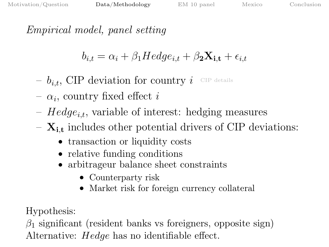<span id="page-9-0"></span>Empirical model, panel setting

$$
b_{i,t} = \alpha_i + \beta_1 Hedge_{i,t} + \beta_2 \mathbf{X_{i,t}} + \epsilon_{i,t}
$$

 $- b_{i,t}$ , CIP deviation for country i [CIP details](#page-24-0)

- $\alpha_i$ , country fixed effect *i*
- $Hedge_{i,t}$ , variable of interest: hedging measures
- $\mathbf{X}_{i,t}$  includes other potential drivers of CIP deviations:
	- transaction or liquidity costs
	- relative funding conditions
	- arbitrageur balance sheet constraints
		- Counterparty risk
		- Market risk for foreign currency collateral

Hypothesis:

 $\beta_1$  significant (resident banks vs foreigners, opposite sign) Alternative: Hedge has no identifiable effect.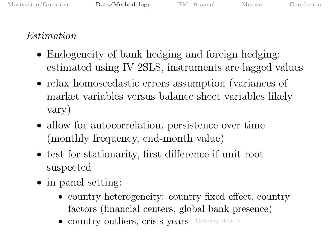# Estimation

- Endogeneity of bank hedging and foreign hedging: estimated using IV 2SLS, instruments are lagged values
- relax homoscedastic errors assumption (variances of market variables versus balance sheet variables likely vary)
- allow for autocorrelation, persistence over time (monthly frequency, end-month value)
- test for stationarity, first difference if unit root suspected
- in panel setting:
	- country heterogeneity: country fixed effect, country factors (financial centers, global bank presence)
	- country outliers, crisis years [Country details](#page-0-0)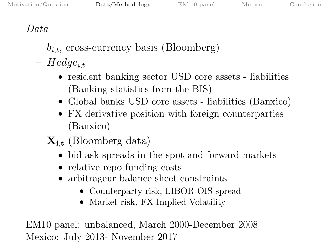# Data

- $b_{i,t}$ , cross-currency basis (Bloomberg)
- $Hedge_{i.t.}$ 
	- resident banking sector USD core assets liabilities (Banking statistics from the BIS)
	- Global banks USD core assets liabilities (Banxico)
	- FX derivative position with foreign counterparties (Banxico)
- $-$  **X**<sub>i,t</sub> (Bloomberg data)
	- bid ask spreads in the spot and forward markets
	- relative repo funding costs
	- arbitrageur balance sheet constraints
		- Counterparty risk, LIBOR-OIS spread
		- Market risk, FX Implied Volatility

EM10 panel: unbalanced, March 2000-December 2008 Mexico: July 2013- November 2017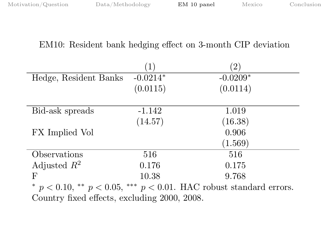### <span id="page-12-0"></span>EM10: Resident bank hedging effect on 3-month CIP deviation

|                                                                             | 1)         | $\left(2\right)$ |  |
|-----------------------------------------------------------------------------|------------|------------------|--|
| Hedge, Resident Banks                                                       | $-0.0214*$ | $-0.0209*$       |  |
|                                                                             | (0.0115)   | (0.0114)         |  |
|                                                                             |            |                  |  |
| Bid-ask spreads                                                             | $-1.142$   | 1.019            |  |
|                                                                             | (14.57)    | (16.38)          |  |
| FX Implied Vol                                                              |            | 0.906            |  |
|                                                                             |            | (1.569)          |  |
| Observations                                                                | 516        | 516              |  |
| Adjusted $R^2$                                                              | 0.176      | 0.175            |  |
| F                                                                           | 10.38      | 9.768            |  |
| * $p < 0.10$ , ** $p < 0.05$ , *** $p < 0.01$ . HAC robust standard errors. |            |                  |  |
| Country fixed effects, excluding 2000, 2008.                                |            |                  |  |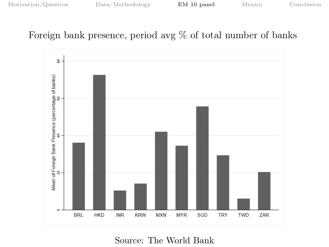## Foreign bank presence, period avg % of total number of banks



Source: The World Bank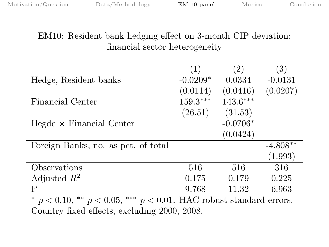## EM10: Resident bank hedging effect on 3-month CIP deviation: financial sector heterogeneity

|                                                                             | $\left(1\right)$ | $\left( 2\right)$ | (3)        |  |
|-----------------------------------------------------------------------------|------------------|-------------------|------------|--|
| Hedge, Resident banks                                                       | $-0.0209*$       | 0.0334            | $-0.0131$  |  |
|                                                                             | (0.0114)         | (0.0416)          | (0.0207)   |  |
| Financial Center                                                            | $159.3***$       | $143.6***$        |            |  |
|                                                                             | (26.51)          | (31.53)           |            |  |
| $Hegde \times Financial$ Center                                             |                  | $-0.0706*$        |            |  |
|                                                                             |                  | (0.0424)          |            |  |
| Foreign Banks, no. as pct. of total                                         |                  |                   | $-4.808**$ |  |
|                                                                             |                  |                   | (1.993)    |  |
| Observations                                                                | 516              | 516               | 316        |  |
| Adjusted $R^2$                                                              | 0.175            | 0.179             | 0.225      |  |
| F                                                                           | 9.768            | 11.32             | 6.963      |  |
| * $p < 0.10$ , ** $p < 0.05$ , *** $p < 0.01$ . HAC robust standard errors. |                  |                   |            |  |
| Country fixed effects, excluding 2000, 2008.                                |                  |                   |            |  |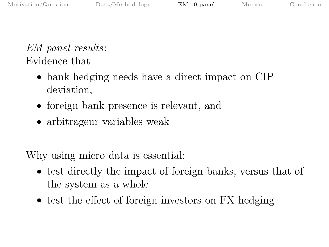# EM panel results: Evidence that

- bank hedging needs have a direct impact on CIP deviation,
- foreign bank presence is relevant, and
- arbitrageur variables weak

Why using micro data is essential:

- test directly the impact of foreign banks, versus that of the system as a whole
- test the effect of foreign investors on FX hedging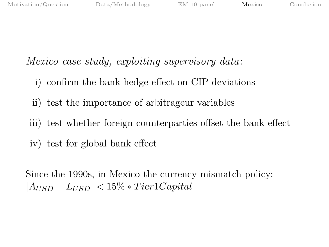## <span id="page-16-0"></span>Mexico case study, exploiting supervisory data:

- i) confirm the bank hedge effect on CIP deviations
- ii) test the importance of arbitrageur variables
- iii) test whether foreign counterparties offset the bank effect
- iv) test for global bank effect

Since the 1990s, in Mexico the currency mismatch policy:  $|A_{USD} - L_{USD}| < 15\% * Tier1 Capital$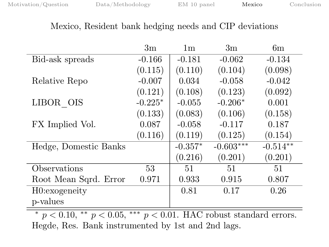#### Mexico, Resident bank hedging needs and CIP deviations

|                       | 3m        | 1 <sub>m</sub> | 3m          | 6m         |
|-----------------------|-----------|----------------|-------------|------------|
| Bid-ask spreads       | $-0.166$  | $-0.181$       | $-0.062$    | $-0.134$   |
|                       | (0.115)   | (0.110)        | (0.104)     | (0.098)    |
| Relative Repo         | $-0.007$  | 0.034          | $-0.058$    | $-0.042$   |
|                       | (0.121)   | (0.108)        | (0.123)     | (0.092)    |
| LIBOR OIS             | $-0.225*$ | $-0.055$       | $-0.206*$   | 0.001      |
|                       | (0.133)   | (0.083)        | (0.106)     | (0.158)    |
| FX Implied Vol.       | 0.087     | $-0.058$       | $-0.117$    | 0.187      |
|                       | (0.116)   | (0.119)        | (0.125)     | (0.154)    |
| Hedge, Domestic Banks |           | $-0.357*$      | $-0.603***$ | $-0.514**$ |
|                       |           | (0.216)        | (0.201)     | (0.201)    |
| Observations          | 53        | 51             | 51          | 51         |
| Root Mean Sqrd. Error | 0.971     | 0.933          | 0.915       | 0.807      |
| H0:exogeneity         |           | 0.81           | 0.17        | 0.26       |
| p-values              |           |                |             |            |
|                       |           |                |             |            |

 $* p < 0.10, ** p < 0.05, ** p < 0.01$ . HAC robust standard errors. Hegde, Res. Bank instrumented by 1st and 2nd lags.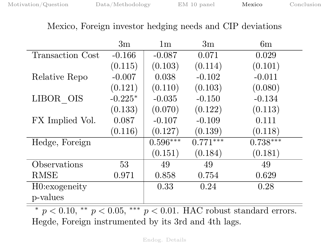#### <span id="page-18-0"></span>Mexico, Foreign investor hedging needs and CIP deviations

|                  | 3m        | 1 <sub>m</sub> | 3m         | 6m         |
|------------------|-----------|----------------|------------|------------|
| Transaction Cost | $-0.166$  | $-0.087$       | 0.071      | 0.029      |
|                  | (0.115)   | (0.103)        | (0.114)    | (0.101)    |
| Relative Repo    | $-0.007$  | 0.038          | $-0.102$   | $-0.011$   |
|                  | (0.121)   | (0.110)        | (0.103)    | (0.080)    |
| LIBOR OIS        | $-0.225*$ | $-0.035$       | $-0.150$   | $-0.134$   |
|                  | (0.133)   | (0.070)        | (0.122)    | (0.113)    |
| FX Implied Vol.  | 0.087     | $-0.107$       | $-0.109$   | 0.111      |
|                  | (0.116)   | (0.127)        | (0.139)    | (0.118)    |
| Hedge, Foreign   |           | $0.596***$     | $0.771***$ | $0.738***$ |
|                  |           | (0.151)        | (0.184)    | (0.181)    |
| Observations     | 53        | 49             | 49         | 49         |
| RMSE             | 0.971     | 0.858          | 0.754      | 0.629      |
| H0:exogeneity    |           | 0.33           | 0.24       | 0.28       |
| p-values         |           |                |            |            |

 $* p < 0.10, ** p < 0.05, ** p < 0.01$ . HAC robust standard errors. Hegde, Foreign instrumented by its 3rd and 4th lags.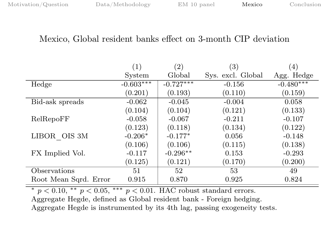#### Mexico, Global resident banks effect on 3-month CIP deviation

|                       | (1)         | (2)         | $\left( 3\right)$ | (4)         |
|-----------------------|-------------|-------------|-------------------|-------------|
|                       | System      | Global      | Sys. excl. Global | Agg. Hedge  |
| Hedge                 | $-0.603***$ | $-0.727***$ | $-0.156$          | $-0.480***$ |
|                       | (0.201)     | (0.193)     | (0.110)           | (0.159)     |
| Bid-ask spreads       | $-0.062$    | $-0.045$    | $-0.004$          | 0.058       |
|                       | (0.104)     | (0.104)     | (0.121)           | (0.133)     |
| RelRepoFF             | $-0.058$    | $-0.067$    | $-0.211$          | $-0.107$    |
|                       | (0.123)     | (0.118)     | (0.134)           | (0.122)     |
| LIBOR OIS 3M          | $-0.206*$   | $-0.177*$   | 0.056             | $-0.148$    |
|                       | (0.106)     | (0.106)     | (0.115)           | (0.138)     |
| FX Implied Vol.       | $-0.117$    | $-0.296**$  | 0.153             | $-0.293$    |
|                       | (0.125)     | (0.121)     | (0.170)           | (0.200)     |
| Observations          | 51          | 52          | 53                | 49          |
| Root Mean Sqrd. Error | 0.915       | 0.870       | 0.925             | 0.824       |

\*  $p < 0.10$ , \*\*  $p < 0.05$ , \*\*\*  $p < 0.01$ . HAC robust standard errors. Aggregate Hegde, defined as Global resident bank - Foreign hedging. Aggregate Hegde is instrumented by its 4th lag, passing exogeneity tests.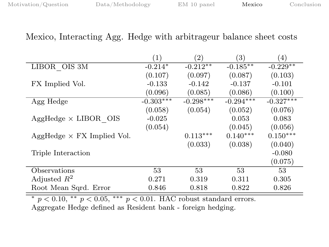#### Mexico, Interacting Agg. Hedge with arbitrageur balance sheet costs

|                                   | (1)         | $\left( 2\right)$ | (3)         | (4)         |
|-----------------------------------|-------------|-------------------|-------------|-------------|
| LIBOR OIS 3M                      | $-0.214*$   | $-0.212**$        | $-0.185**$  | $-0.229**$  |
|                                   | (0.107)     | (0.097)           | (0.087)     | (0.103)     |
| FX Implied Vol.                   | $-0.133$    | $-0.142$          | $-0.137$    | $-0.101$    |
|                                   | (0.096)     | (0.085)           | (0.086)     | (0.100)     |
| Agg Hedge                         | $-0.303***$ | $-0.298***$       | $-0.294***$ | $-0.327***$ |
|                                   | (0.058)     | (0.054)           | (0.052)     | (0.076)     |
| $AggHedge \times LIBOR$ OIS       | $-0.025$    |                   | 0.053       | 0.083       |
|                                   | (0.054)     |                   | (0.045)     | (0.056)     |
| $AggHedge \times FX$ Implied Vol. |             | $0.113***$        | $0.140***$  | $0.150***$  |
|                                   |             | (0.033)           | (0.038)     | (0.040)     |
| Triple Interaction                |             |                   |             | $-0.080$    |
|                                   |             |                   |             | (0.075)     |
| Observations                      | 53          | 53                | 53          | 53          |
| Adjusted $R^2$                    | 0.271       | 0.319             | 0.311       | 0.305       |
| Root Mean Sqrd. Error             | 0.846       | 0.818             | 0.822       | 0.826       |

 $*$   $p < 0.10$ ,  $**$   $p < 0.05$ ,  $***$   $p < 0.01$ . HAC robust standard errors.

Aggregate Hedge defined as Resident bank - foreign hedging.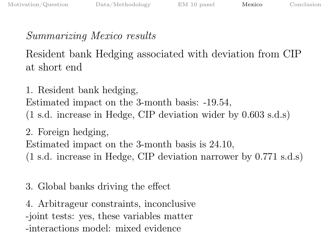# Summarizing Mexico results

Resident bank Hedging associated with deviation from CIP at short end

1. Resident bank hedging, Estimated impact on the 3-month basis: -19.54, (1 s.d. increase in Hedge, CIP deviation wider by 0.603 s.d.s)

2. Foreign hedging, Estimated impact on the 3-month basis is 24.10, (1 s.d. increase in Hedge, CIP deviation narrower by 0.771 s.d.s)

3. Global banks driving the effect

4. Arbitrageur constraints, inconclusive

-joint tests: yes, these variables matter

-interactions model: mixed evidence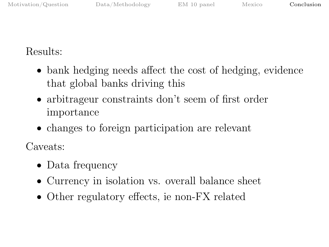<span id="page-22-0"></span>Results:

- bank hedging needs affect the cost of hedging, evidence that global banks driving this
- arbitrageur constraints don't seem of first order importance
- changes to foreign participation are relevant

Caveats:

- Data frequency
- Currency in isolation vs. overall balance sheet
- Other regulatory effects, ie non-FX related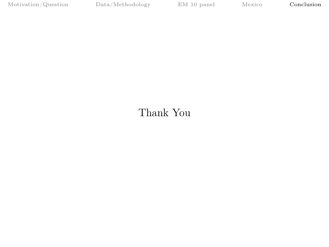## Thank You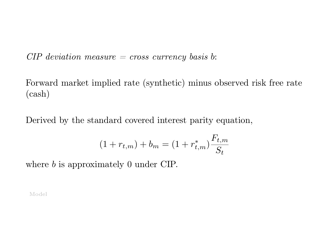<span id="page-24-0"></span> $CIP$  deviation measure  $=$  cross currency basis b:

Forward market implied rate (synthetic) minus observed risk free rate (cash)

Derived by the standard covered interest parity equation,

$$
(1 + r_{t,m}) + b_m = (1 + r_{t,m}^*) \frac{F_{t,m}}{S_t}
$$

where *b* is approximately 0 under CIP.

[Model](#page-9-0)